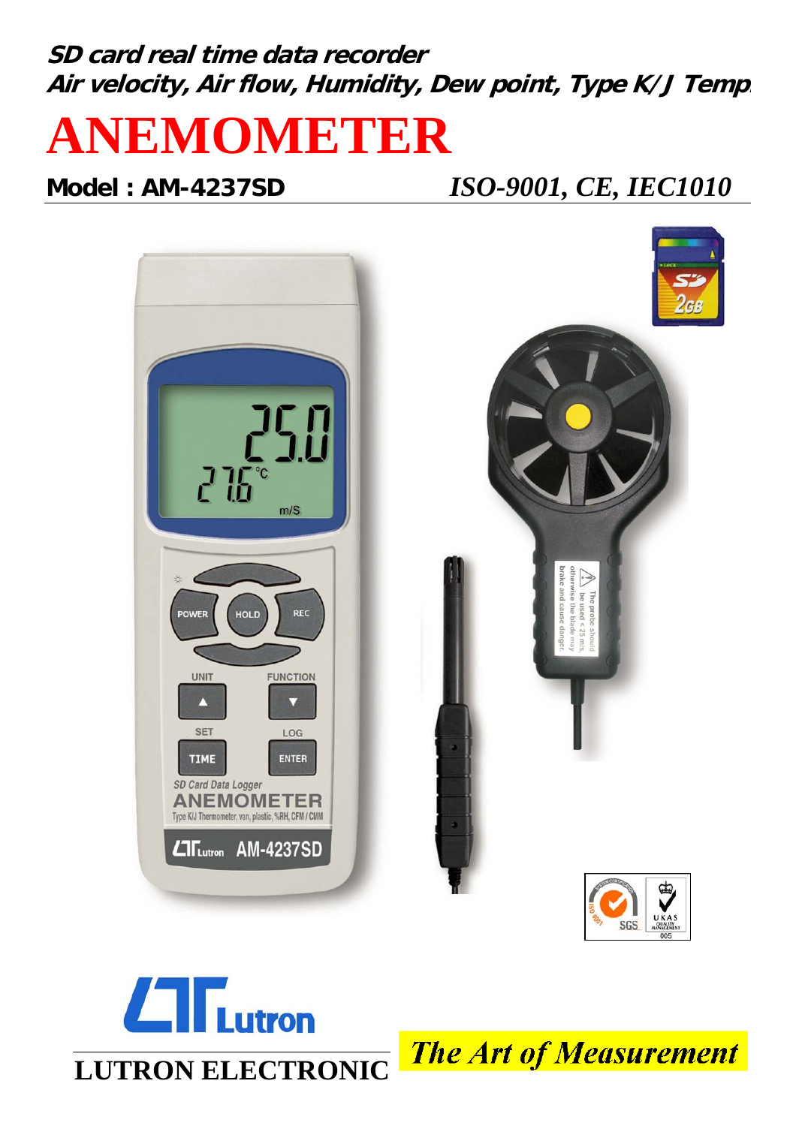# **SD card real time data recorder Air velocity, Air flow, Humidity, Dew point, Type K/J Temp.**



 $L$ T $L$ utron

# **Model : AM-4237SD** *ISO-9001, CE, IEC1010*





**The Art of Measurement**